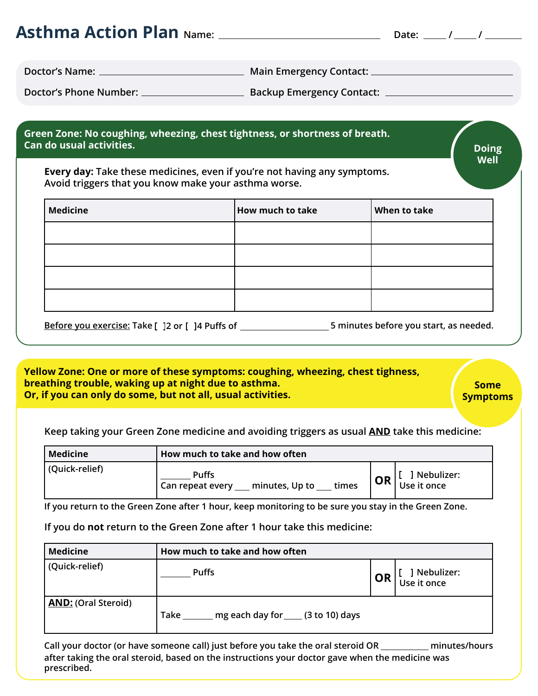|                          | Green Zone: No coughing, wheezing, chest tightness, or shortness of breath.                                                      |              |              |
|--------------------------|----------------------------------------------------------------------------------------------------------------------------------|--------------|--------------|
| Can do usual activities. |                                                                                                                                  |              | <b>Doing</b> |
|                          |                                                                                                                                  |              |              |
|                          | Every day: Take these medicines, even if you're not having any symptoms.<br>Avoid triggers that you know make your asthma worse. |              | Well         |
| <b>Medicine</b>          | <b>How much to take</b>                                                                                                          | When to take |              |
|                          |                                                                                                                                  |              |              |
|                          |                                                                                                                                  |              |              |

**Yellow Zone: One or more of these symptoms: coughing, wheezing, chest tighness, breathing trouble, waking up at night due to asthma. Or, if you can only do some, but not all, usual activities.**

**Some Symptoms**

**Keep taking your Green Zone medicine and avoiding triggers as usual AND take this medicine:**

| Medicine       | How much to take and how often                              |           |                           |
|----------------|-------------------------------------------------------------|-----------|---------------------------|
| (Quick-relief) | <b>Puffs</b><br>minutes, Up to<br>times<br>Can repeat every | <b>OR</b> | Mebulizer:<br>Use it once |

**If you return to the Green Zone after 1 hour, keep monitoring to be sure you stay in the Green Zone.**

**If you do not return to the Green Zone after 1 hour take this medicine:**

| <b>Medicine</b>            | How much to take and how often                |    |                             |
|----------------------------|-----------------------------------------------|----|-----------------------------|
| (Quick-relief)             | <b>Puffs</b>                                  | OR | ] Nebulizer:<br>Use it once |
| <b>AND: (Oral Steroid)</b> | mg each day for ____ (3 to 10) days<br>  Take |    |                             |

**Call your doctor (or have someone call) just before you take the oral steroid OR minutes/hours after taking the oral steroid, based on the instructions your doctor gave when the medicine was prescribed.**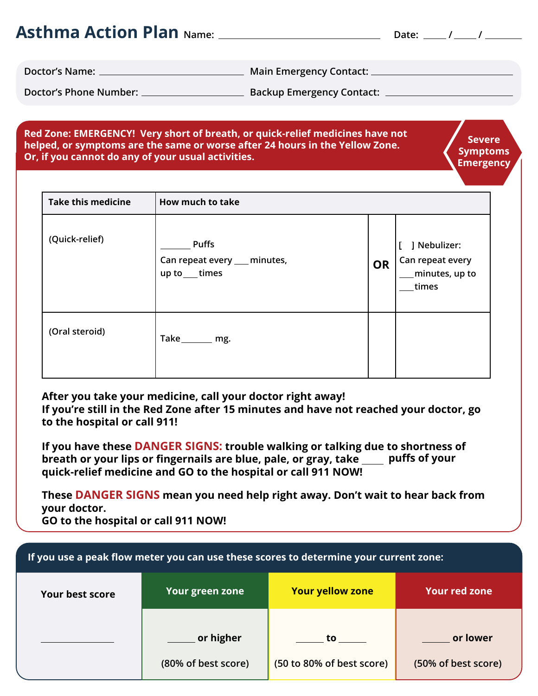| <b>Asthma Action Plan Name:</b> |                                  | Date: / / |  |  |
|---------------------------------|----------------------------------|-----------|--|--|
| Doctor's Name:                  | Main Emergency Contact: _        |           |  |  |
| Doctor's Phone Number:          | <b>Backup Emergency Contact:</b> |           |  |  |

#### **Red Zone: EMERGENCY! Very short of breath, or quick-relief medicines have not helped, or symptoms are the same or worse after 24 hours in the Yellow Zone. Or, if you cannot do any of your usual activities.**

**Severe Symptoms Emergency**

| <b>Take this medicine</b> | How much to take                                                |           |                                                             |
|---------------------------|-----------------------------------------------------------------|-----------|-------------------------------------------------------------|
| (Quick-relief)            | <b>Puffs</b><br>Can repeat every __ minutes,<br>up to ___ times | <b>OR</b> | ] Nebulizer:<br>Can repeat every<br>minutes, up to<br>times |
| (Oral steroid)            | Take_______ mg.                                                 |           |                                                             |

**After you take your medicine, call your doctor right away! If you're still in the Red Zone after 15 minutes and have not reached your doctor, go to the hospital or call 911!**

**If you have these DANGER SIGNS: trouble walking or talking due to shortness of breath or your lips or fingernails are blue, pale, or gray, take straiffully puffs of your quick-relief medicine and GO to the hospital or call 911 NOW!**

**These DANGER SIGNS mean you need help right away. Don't wait to hear back from your doctor. GO to the hospital or call 911 NOW!**

| If you use a peak flow meter you can use these scores to determine your current zone: |                     |                           |                      |
|---------------------------------------------------------------------------------------|---------------------|---------------------------|----------------------|
| <b>Your best score</b>                                                                | Your green zone     | <b>Your yellow zone</b>   | <b>Your red zone</b> |
|                                                                                       | or higher           | to to                     | or lower             |
|                                                                                       | (80% of best score) | (50 to 80% of best score) | (50% of best score)  |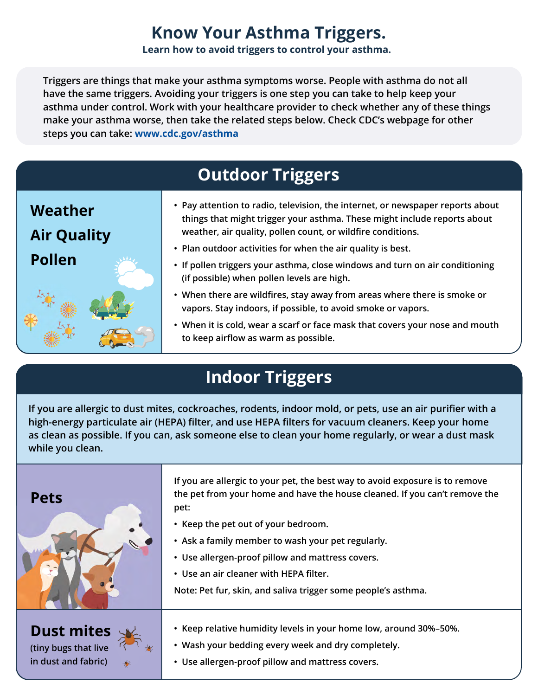## **Know Your Asthma Triggers.**

**Learn how to avoid triggers to control your asthma.**

**Triggers are things that make your asthma symptoms worse. People with asthma do not all have the same triggers. Avoiding your triggers is one step you can take to help keep your asthma under control. Work with your healthcare provider to check whether any of these things make your asthma worse, then take the related steps below. Check CDC's webpage for other steps you can take: [www.cdc.gov/asthma](http://www.cdc.gov/asthma)**

# **Outdoor Triggers**

| Weather<br><b>Air Quality</b> | • Pay attention to radio, television, the internet, or newspaper reports about<br>things that might trigger your asthma. These might include reports about<br>weather, air quality, pollen count, or wildfire conditions. |
|-------------------------------|---------------------------------------------------------------------------------------------------------------------------------------------------------------------------------------------------------------------------|
| <b>Pollen</b>                 | • Plan outdoor activities for when the air quality is best.<br>• If pollen triggers your asthma, close windows and turn on air conditioning<br>(if possible) when pollen levels are high.                                 |
|                               | • When there are wildfires, stay away from areas where there is smoke or<br>vapors. Stay indoors, if possible, to avoid smoke or vapors.                                                                                  |
|                               | • When it is cold, wear a scarf or face mask that covers your nose and mouth<br>to keep airflow as warm as possible.                                                                                                      |

# **Indoor Triggers**

**If you are allergic to dust mites, cockroaches, rodents, indoor mold, or pets, use an air purifier with a high-energy particulate air (HEPA) filter, and use HEPA filters for vacuum cleaners. Keep your home as clean as possible. If you can, ask someone else to clean your home regularly, or wear a dust mask while you clean.**

| <b>Pets</b>          | If you are allergic to your pet, the best way to avoid exposure is to remove<br>the pet from your home and have the house cleaned. If you can't remove the<br>pet:<br>• Keep the pet out of your bedroom.<br>• Ask a family member to wash your pet regularly.<br>• Use allergen-proof pillow and mattress covers.<br>• Use an air cleaner with HEPA filter.<br>Note: Pet fur, skin, and saliva trigger some people's asthma. |
|----------------------|-------------------------------------------------------------------------------------------------------------------------------------------------------------------------------------------------------------------------------------------------------------------------------------------------------------------------------------------------------------------------------------------------------------------------------|
| <b>Dust mites</b>    | • Keep relative humidity levels in your home low, around 30%-50%.                                                                                                                                                                                                                                                                                                                                                             |
| (tiny bugs that live | • Wash your bedding every week and dry completely.                                                                                                                                                                                                                                                                                                                                                                            |
| in dust and fabric)  | • Use allergen-proof pillow and mattress covers.                                                                                                                                                                                                                                                                                                                                                                              |